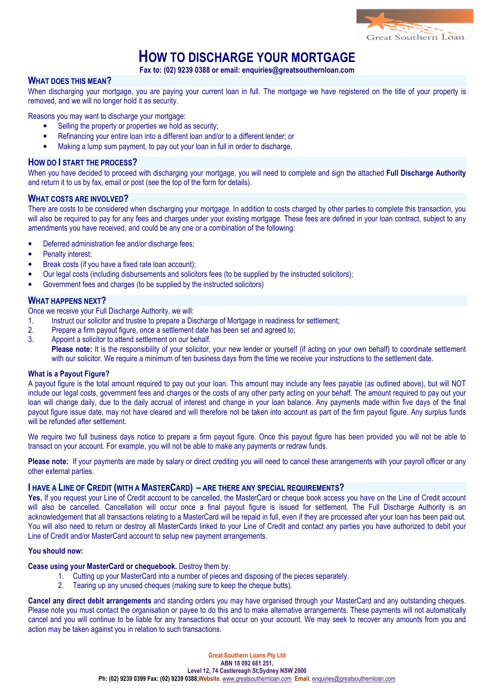

## HOW TO DISCHARGE YOUR MORTGAGE

Fax to: (02) 9239 0388 or email: enquiries@greatsouthernloan.com

### WHAT DOES THIS MEAN?

When discharging your mortgage, you are paying your current loan in full. The mortgage we have registered on the title of your property is removed, and we will no longer hold it as security.

Reasons you may want to discharge your mortgage:

- Selling the property or properties we hold as security:
- Refinancing your entire loan into a different loan and/or to a different lender; or
- Making a lump sum payment, to pay out your loan in full in order to discharge.

#### HOW DO I START THE PROCESS?

When you have decided to proceed with discharging your mortgage, you will need to complete and sign the attached Full Discharge Authority and return it to us by fax, email or post (see the top of the form for details).

#### WHAT COSTS ARE INVOLVED?

There are costs to be considered when discharging your mortgage. In addition to costs charged by other parties to complete this transaction, you will also be required to pay for any fees and charges under your existing mortgage. These fees are defined in your loan contract, subject to any amendments you have received, and could be any one or a combination of the following:

- Deferred administration fee and/or discharge fees;
- Penalty interest:
- Break costs (if you have a fixed rate loan account);
- Our legal costs (including disbursements and solicitors fees (to be supplied by the instructed solicitors);
- Government fees and charges (to be supplied by the instructed solicitors)

#### WHAT HAPPENS NEXT?

Once we receive your Full Discharge Authority, we will:

- 1. Instruct our solicitor and trustee to prepare a Discharge of Mortgage in readiness for settlement;
- 2. Prepare a firm payout figure, once a settlement date has been set and agreed to;
- 3. Appoint a solicitor to attend settlement on our behalf.

Please note: It is the responsibility of your solicitor, your new lender or yourself (if acting on your own behalf) to coordinate settlement with our solicitor. We require a minimum of ten business days from the time we receive your instructions to the settlement date.

#### What is a Payout Figure?

A payout figure is the total amount required to pay out your loan. This amount may include any fees payable (as outlined above), but will NOT include our legal costs, government fees and charges or the costs of any other party acting on your behalf. The amount required to pay out your loan will change daily, due to the daily accrual of interest and change in your loan balance. Any payments made within five days of the final payout figure issue date, may not have cleared and will therefore not be taken into account as part of the firm payout figure. Any surplus funds will be refunded after settlement.

We require two full business days notice to prepare a firm payout figure. Once this payout figure has been provided you will not be able to transact on your account. For example, you will not be able to make any payments or redraw funds.

Please note: If your payments are made by salary or direct crediting you will need to cancel these arrangements with your payroll officer or any other external parties.

#### I HAVE A LINE OF CREDIT (WITH A MASTERCARD) – ARE THERE ANY SPECIAL REQUIREMENTS?

Yes. If you request your Line of Credit account to be cancelled, the MasterCard or cheque book access you have on the Line of Credit account will also be cancelled. Cancellation will occur once a final payout figure is issued for settlement. The Full Discharge Authority is an acknowledgement that all transactions relating to a MasterCard will be repaid in full, even if they are processed after your loan has been paid out. You will also need to return or destroy all MasterCards linked to your Line of Credit and contact any parties you have authorized to debit your Line of Credit and/or MasterCard account to setup new payment arrangements.

#### You should now:

Cease using your MasterCard or chequebook. Destroy them by:

- 1. Cutting up your MasterCard into a number of pieces and disposing of the pieces separately.
- 2. Tearing up any unused cheques (making sure to keep the cheque butts).

Cancel any direct debit arrangements and standing orders you may have organised through your MasterCard and any outstanding cheques. Please note you must contact the organisation or payee to do this and to make alternative arrangements. These payments will not automatically cancel and you will continue to be liable for any transactions that occur on your account. We may seek to recover any amounts from you and action may be taken against you in relation to such transactions.